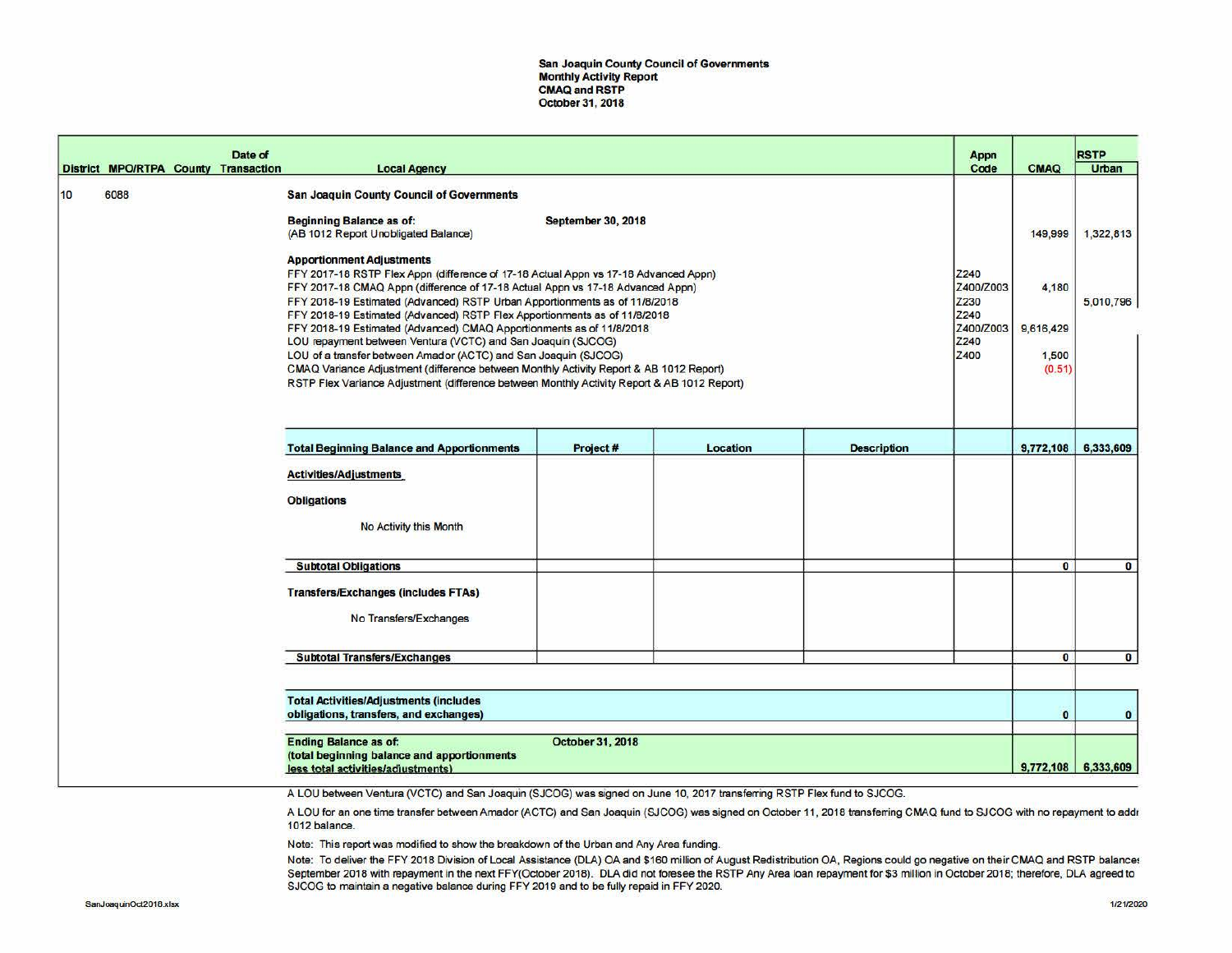San Joaquin County Council of Governments Monthly Activity Report CMAQ and RSTP October 31, 2018

|    |                                      | Date of |                                                                                                                                                                                                                                                                                                                                                                                                  |                           |          |                    | Appn                              |                              | <b>RSTP</b>           |
|----|--------------------------------------|---------|--------------------------------------------------------------------------------------------------------------------------------------------------------------------------------------------------------------------------------------------------------------------------------------------------------------------------------------------------------------------------------------------------|---------------------------|----------|--------------------|-----------------------------------|------------------------------|-----------------------|
|    | District MPO/RTPA County Transaction |         | <b>Local Agency</b>                                                                                                                                                                                                                                                                                                                                                                              |                           |          |                    | Code                              | CMAQ                         | Urban                 |
| 10 | 6088                                 |         | San Joaquin County Council of Governments<br><b>Beginning Balance as of:</b><br>(AB 1012 Report Unobligated Balance)                                                                                                                                                                                                                                                                             | <b>September 30, 2018</b> |          |                    |                                   | 149,999                      | 1,322,813             |
|    |                                      |         | <b>Apportionment Adjustments</b><br>FFY 2017-18 RSTP Flex Appn (difference of 17-18 Actual Appn vs 17-18 Advanced Appn)<br>FFY 2017-18 CMAQ Appn (difference of 17-18 Actual Appn vs 17-18 Advanced Appn)<br>FFY 2018-19 Estimated (Advanced) RSTP Urban Apportionments as of 11/8/2018<br>FFY 2018-19 Estimated (Advanced) RSTP Flex Apportionments as of 11/8/2018                             |                           |          |                    | Z240<br>Z400/Z003<br>Z230<br>Z240 | 4,180                        | 5,010,796             |
|    |                                      |         | FFY 2018-19 Estimated (Advanced) CMAQ Apportionments as of 11/8/2018<br>LOU repayment between Ventura (VCTC) and San Joaquin (SJCOG)<br>LOU of a transfer between Amador (ACTC) and San Joaquin (SJCOG)<br>CMAQ Variance Adjustment (difference between Monthly Activity Report & AB 1012 Report)<br>RSTP Flex Variance Adjustment (difference between Monthly Activity Report & AB 1012 Report) |                           |          |                    | Z400/Z003<br>Z240<br>Z400         | 9,616,429<br>1,500<br>(0.51) |                       |
|    |                                      |         |                                                                                                                                                                                                                                                                                                                                                                                                  |                           |          |                    |                                   |                              |                       |
|    |                                      |         | <b>Total Beginning Balance and Apportionments</b>                                                                                                                                                                                                                                                                                                                                                | Project#                  | Location | <b>Description</b> |                                   | 9,772,108                    | 6,333,609             |
|    |                                      |         | <b>Activities/Adjustments</b><br><b>Obligations</b><br>No Activity this Month                                                                                                                                                                                                                                                                                                                    |                           |          |                    |                                   |                              |                       |
|    |                                      |         | <b>Subtotal Obligations</b>                                                                                                                                                                                                                                                                                                                                                                      |                           |          |                    |                                   | $\bullet$                    | $\mathbf{0}$          |
|    |                                      |         | <b>Transfers/Exchanges (includes FTAs)</b><br>No Transfers/Exchanges                                                                                                                                                                                                                                                                                                                             |                           |          |                    |                                   |                              |                       |
|    |                                      |         | <b>Subtotal Transfers/Exchanges</b>                                                                                                                                                                                                                                                                                                                                                              |                           |          |                    |                                   | $\mathbf{0}$                 | $\bf{0}$              |
|    |                                      |         |                                                                                                                                                                                                                                                                                                                                                                                                  |                           |          |                    |                                   |                              |                       |
|    |                                      |         | <b>Total Activities/Adjustments (includes</b><br>obligations, transfers, and exchanges)                                                                                                                                                                                                                                                                                                          |                           |          |                    |                                   | $\bullet$                    | $\bullet$             |
|    |                                      |         | <b>Ending Balance as of:</b><br>(total beginning balance and apportionments<br>less total activities/adjustments).                                                                                                                                                                                                                                                                               | <b>October 31, 2018</b>   |          |                    |                                   |                              | $9,772,108$ 6,333,609 |

A LOU between Ventura (VCTC) and San Joaquin (SJCOG) was signed on June 10, 2017 transfemng RSTP Flex fund to SJCOG.

A LOU for an one time transfer between Amador (ACTC) and San Joaquin (SJCOG) was signed on October 11, 2018 transferring CMAQ fund to SJCOG with no repayment to addr 1012 balance.

Note: This report was modified to show the breakdown of the Urban and Any Area funding.

Note: To deliver the FFY 2018 Division of Local Assistance (DLA) OA and \$160 million of August Redistribution OA, Regions could go negative on their CMAQ and RSTP balance: September 2018 with repayment in the next FFY(October 2018). DLA did not foresee the RSTP Any Area loan repayment for \$3 million in October 2018; therefore, DLA agreed to SJCOG to maintain a negative balance during FFY 2019 and to be fully repaid in FFY 2020.